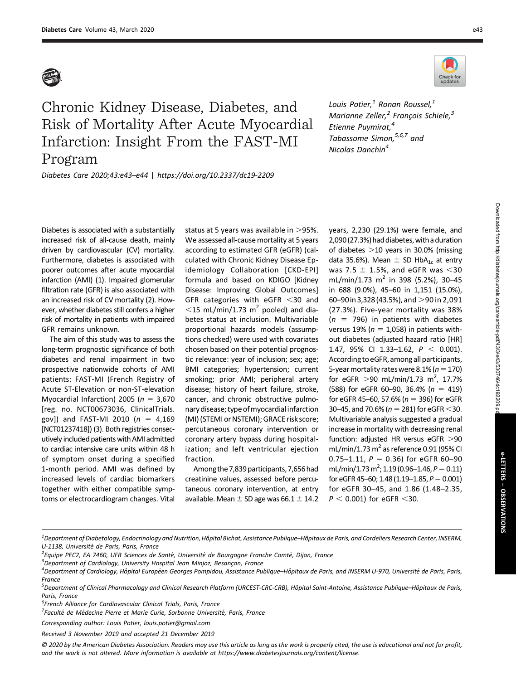

## Chronic Kidney Disease, Diabetes, and Risk of Mortality After Acute Myocardial Infarction: Insight From the FAST-MI Program

Diabetes Care 2020;43:e43–e44 | <https://doi.org/10.2337/dc19-2209>



Louis Potier, $^1$  Ronan Roussel, $^1$ Marianne Zeller, $^2$  François Schiele, $^3$ Etienne Puymirat,<sup>4</sup> Tabassome Simon, 5,6,7 and Nicolas Danchin<sup>4</sup>

Diabetes is associated with a substantially increased risk of all-cause death, mainly driven by cardiovascular (CV) mortality. Furthermore, diabetes is associated with poorer outcomes after acute myocardial infarction (AMI) (1). Impaired glomerular filtration rate (GFR) is also associated with an increased risk of CV mortality (2). However, whether diabetes still confers a higher risk of mortality in patients with impaired GFR remains unknown.

The aim of this study was to assess the long-term prognostic significance of both diabetes and renal impairment in two prospective nationwide cohorts of AMI patients: FAST-MI (French Registry of Acute ST-Elevation or non-ST-elevation Myocardial Infarction) 2005 ( $n = 3,670$ [reg. no. NCT00673036, [ClinicalTrials.](https://clinicaltrials.gov) [gov\]](https://clinicaltrials.gov)) and FAST-MI 2010 ( $n = 4,169$ [NCT01237418]) (3). Both registries consecutively included patients with AMI admitted to cardiac intensive care units within 48 h of symptom onset during a specified 1-month period. AMI was defined by increased levels of cardiac biomarkers together with either compatible symptoms or electrocardiogram changes. Vital

status at 5 years was available in  $>$ 95%. We assessed all-cause mortality at 5 years according to estimated GFR (eGFR) (calculated with Chronic Kidney Disease Epidemiology Collaboration [CKD-EPI] formula and based on KDIGO [Kidney Disease: Improving Global Outcomes] GFR categories with eGFR  $<$ 30 and  $<$ 15 mL/min/1.73 m<sup>2</sup> pooled) and diabetes status at inclusion. Multivariable proportional hazards models (assumptions checked) were used with covariates chosen based on their potential prognostic relevance: year of inclusion; sex; age; BMI categories; hypertension; current smoking; prior AMI; peripheral artery disease; history of heart failure, stroke, cancer, and chronic obstructive pulmonary disease; type ofmyocardialinfarction (MI) (STEMI or NSTEMI); GRACE risk score; percutaneous coronary intervention or coronary artery bypass during hospitalization; and left ventricular ejection fraction.

Among the 7,839 participants, 7,656 had creatinine values, assessed before percutaneous coronary intervention, at entry available. Mean  $\pm$  SD age was 66.1  $\pm$  14.2 years, 2,230 (29.1%) were female, and 2,090 (27.3%) had diabetes, with a duration of diabetes  $>$ 10 years in 30.0% (missing data 35.6%). Mean  $\pm$  SD HbA<sub>1c</sub> at entry was 7.5  $\pm$  1.5%, and eGFR was  $<$ 30 mL/min/1.73  $m^2$  in 398 (5.2%), 30-45 in 688 (9.0%), 45–60 in 1,151 (15.0%), 60–90 in 3,328 (43.5%), and  $>$  90 in 2,091 (27.3%). Five-year mortality was 38%  $(n = 796)$  in patients with diabetes versus 19% ( $n = 1,058$ ) in patients without diabetes (adjusted hazard ratio [HR] 1.47, 95% CI 1.33-1.62,  $P < 0.001$ ). According toeGFR, among all participants, 5-year mortality rates were 8.1% ( $n=170$ ) for eGFR  $>$ 90 mL/min/1.73 m<sup>2</sup>, 17.7% (588) for eGFR 60-90, 36.4% ( $n = 419$ ) for eGFR 45–60, 57.6% ( $n = 396$ ) for eGFR 30–45, and 70.6% ( $n = 281$ ) for eGFR <30. Multivariable analysis suggested a gradual increase in mortality with decreasing renal function: adjusted HR versus eGFR  $>$ 90 mL/min/1.73  $m^2$  as reference 0.91 (95% CI 0.75–1.11,  $P = 0.36$ ) for eGFR 60–90 mL/min/1.73 m<sup>2</sup>; 1.19 (0.96–1.46,  $P = 0.11$ ) for eGFR 45-60; 1.48 (1.19-1.85,  $P = 0.001$ ) for eGFR 30–45, and 1.86 (1.48–2.35,  $P < 0.001$ ) for eGFR  $<$ 30.

 ${}^{3}$ Department of Cardiology, University Hospital Jean Minjoz, Besançon, France

Corresponding author: Louis Potier, [louis.potier@gmail.com](mailto:louis.potier@gmail.com)

<sup>&</sup>lt;sup>1</sup> Department of Diabetology, Endocrinology and Nutrition, Hôpital Bichat, Assistance Publique–Hôpitaux de Paris, and Cordeliers Research Center, INSERM, U-1138, Université de Paris, Paris, France

<sup>&</sup>lt;sup>2</sup> Equipe PEC2, EA 7460, UFR Sciences de Santé, Université de Bourgogne Franche Comté, Dijon, France

<sup>&</sup>lt;sup>4</sup> Department of Cardiology, Hôpital Européen Georges Pompidou, Assistance Publique–Hôpitaux de Paris, and INSERM U-970, Université de Paris, Paris, France

<sup>&</sup>lt;u>.</u><br><sup>5</sup> Department of Clinical Pharmacology and Clinical Research Platform (URCEST-CRC-CRB), Hôpital Saint-Antoine, Assistance Publique–Hôpitaux de Paris, Paris, France

<sup>&</sup>lt;sup>6</sup>French Alliance for Cardiovascular Clinical Trials, Paris, France

<sup>&</sup>lt;sup>7</sup> Faculté de Médecine Pierre et Marie Curie, Sorbonne Université, Paris, France

Received 3 November 2019 and accepted 21 December 2019

<sup>© 2020</sup> by the American Diabetes Association. Readers may use this article as long as the work is properly cited, the use is educational and not for profit, and the work is not altered. More information is available at<https://www.diabetesjournals.org/content/license>.